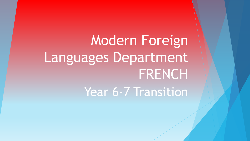Modern Foreign Languages Department FRENCH

Year 6-7 Transition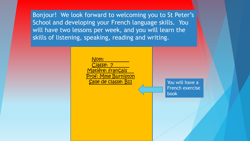Bonjour! We look forward to welcoming you to St Peter's School and developing your French language skills. You will have two lessons per week, and you will learn the skills of listening, speaking, reading and writing.

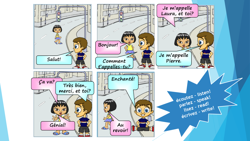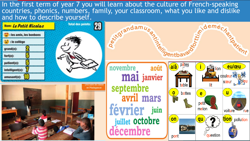In the first term of year 7 you will learn about the culture of French-speaking countries, phonics, numbers, family, your classroom, what you like and dislike

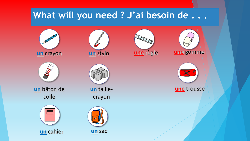## **What will you need ? J'ai besoin de . . .**





**un** bâton de colle







**un** taillecrayon







**une** trousse